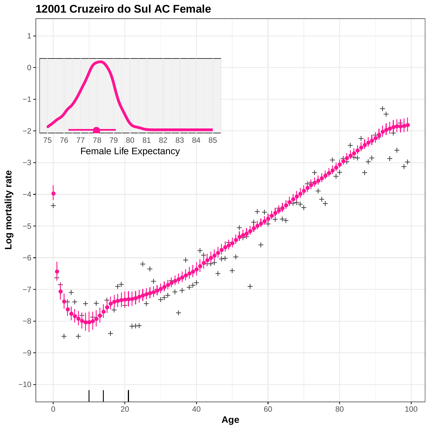

**Age**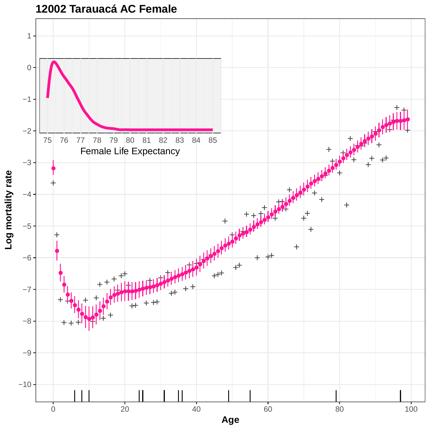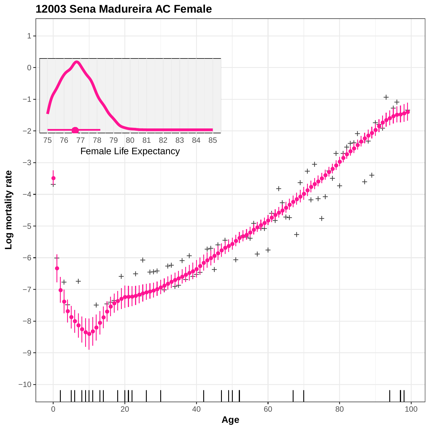

**12003 Sena Madureira AC Female**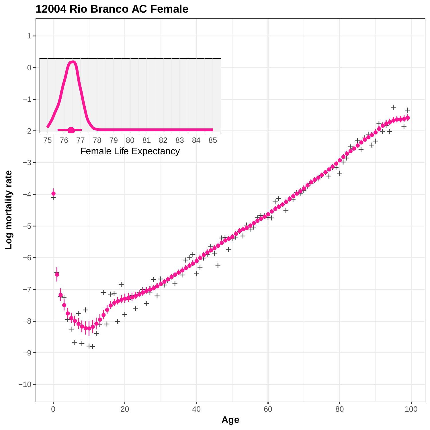